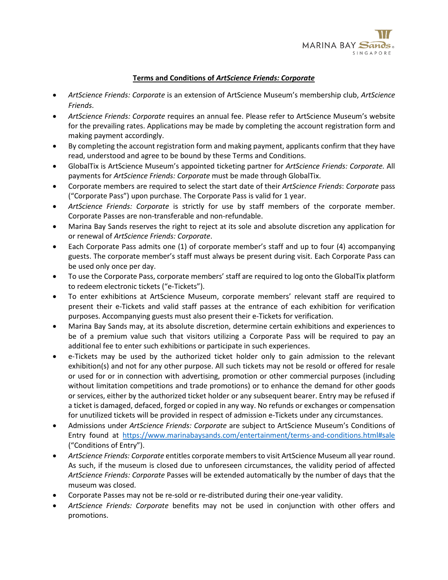

## **Terms and Conditions of** *ArtScience Friends: Corporate*

- *ArtScience Friends: Corporate* is an extension of ArtScience Museum's membership club, *ArtScience Friends*.
- *ArtScience Friends: Corporate* requires an annual fee. Please refer to ArtScience Museum's website for the prevailing rates. Applications may be made by completing the account registration form and making payment accordingly.
- By completing the account registration form and making payment, applicants confirm that they have read, understood and agree to be bound by these Terms and Conditions.
- GlobalTix is ArtScience Museum's appointed ticketing partner for *ArtScience Friends: Corporate.* All payments for *ArtScience Friends: Corporate* must be made through GlobalTix.
- Corporate members are required to select the start date of their *ArtScience Friends*: *Corporate* pass ("Corporate Pass") upon purchase. The Corporate Pass is valid for 1 year.
- *ArtScience Friends: Corporate* is strictly for use by staff members of the corporate member. Corporate Passes are non-transferable and non-refundable.
- Marina Bay Sands reserves the right to reject at its sole and absolute discretion any application for or renewal of *ArtScience Friends: Corporate*.
- Each Corporate Pass admits one (1) of corporate member's staff and up to four (4) accompanying guests. The corporate member's staff must always be present during visit. Each Corporate Pass can be used only once per day.
- To use the Corporate Pass, corporate members' staff are required to log onto the GlobalTix platform to redeem electronic tickets ("e-Tickets").
- To enter exhibitions at ArtScience Museum, corporate members' relevant staff are required to present their e-Tickets and valid staff passes at the entrance of each exhibition for verification purposes. Accompanying guests must also present their e-Tickets for verification.
- Marina Bay Sands may, at its absolute discretion, determine certain exhibitions and experiences to be of a premium value such that visitors utilizing a Corporate Pass will be required to pay an additional fee to enter such exhibitions or participate in such experiences.
- e-Tickets may be used by the authorized ticket holder only to gain admission to the relevant exhibition(s) and not for any other purpose. All such tickets may not be resold or offered for resale or used for or in connection with advertising, promotion or other commercial purposes (including without limitation competitions and trade promotions) or to enhance the demand for other goods or services, either by the authorized ticket holder or any subsequent bearer. Entry may be refused if a ticket is damaged, defaced, forged or copied in any way. No refunds or exchanges or compensation for unutilized tickets will be provided in respect of admission e-Tickets under any circumstances.
- Admissions under *ArtScience Friends: Corporate* are subject to ArtScience Museum's Conditions of Entry found at https://www.marinabaysands.com/entertainment/terms-and-conditions.html#sale ("Conditions of Entry").
- *ArtScience Friends: Corporate* entitles corporate members to visit ArtScience Museum all year round. As such, if the museum is closed due to unforeseen circumstances, the validity period of affected *ArtScience Friends: Corporate* Passes will be extended automatically by the number of days that the museum was closed.
- Corporate Passes may not be re-sold or re-distributed during their one-year validity.
- *ArtScience Friends: Corporate* benefits may not be used in conjunction with other offers and promotions.